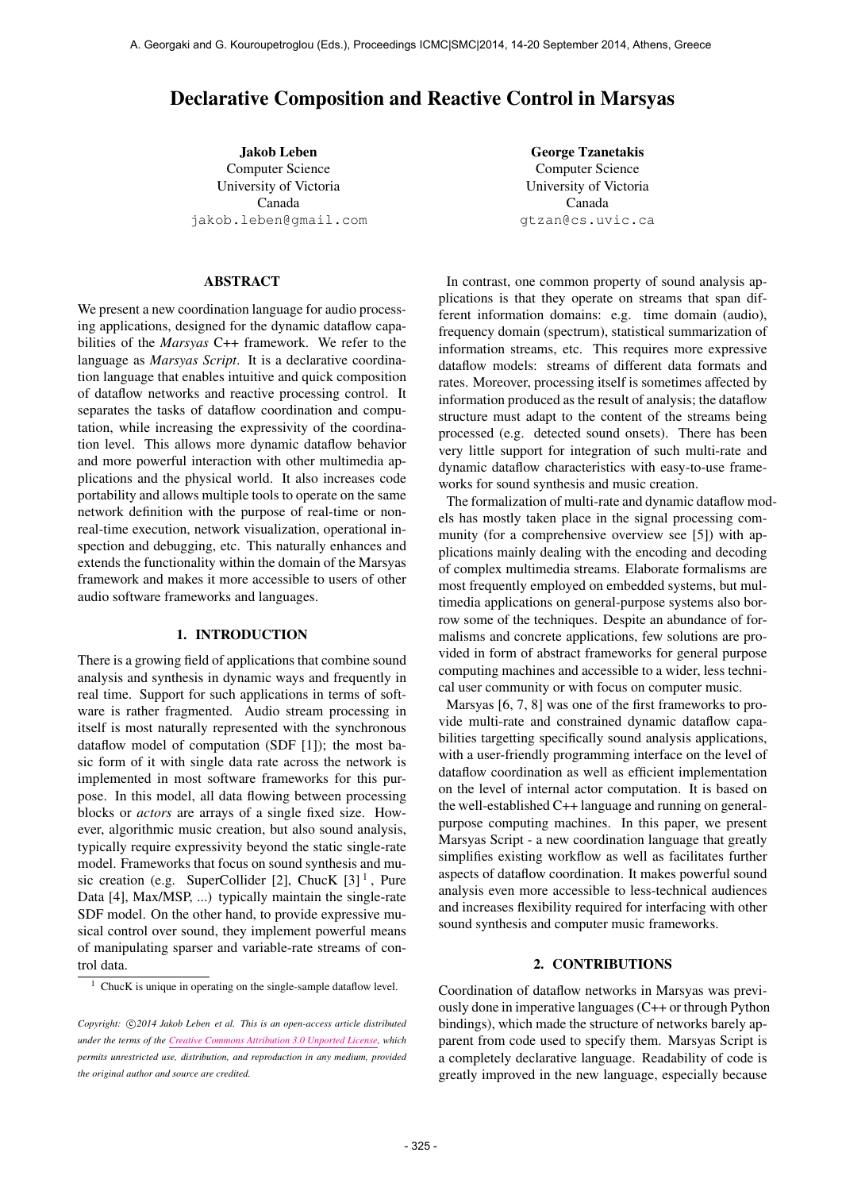# Declarative Composition and Reactive Control in Marsyas

Jakob Leben Computer Science University of Victoria Canada [jakob.leben@gmail.com](mailto:jakob.leben@gmail.com)

ABSTRACT

We present a new coordination language for audio processing applications, designed for the dynamic dataflow capabilities of the *Marsyas* C++ framework. We refer to the language as *Marsyas Script*. It is a declarative coordination language that enables intuitive and quick composition of dataflow networks and reactive processing control. It separates the tasks of dataflow coordination and computation, while increasing the expressivity of the coordination level. This allows more dynamic dataflow behavior and more powerful interaction with other multimedia applications and the physical world. It also increases code portability and allows multiple tools to operate on the same network definition with the purpose of real-time or nonreal-time execution, network visualization, operational inspection and debugging, etc. This naturally enhances and extends the functionality within the domain of the Marsyas framework and makes it more accessible to users of other audio software frameworks and languages.

## 1. INTRODUCTION

There is a growing field of applications that combine sound analysis and synthesis in dynamic ways and frequently in real time. Support for such applications in terms of software is rather fragmented. Audio stream processing in itself is most naturally represented with the synchronous dataflow model of computation (SDF [1]); the most basic form of it with single data rate across the network is implemented in most software frameworks for this purpose. In this model, all data flowing between processing blocks or *actors* are arrays of a single fixed size. However, algorithmic music creation, but also sound analysis, typically require expressivity beyond the static single-rate model. Frameworks that focus on sound synthesis and music creation (e.g. SuperCollider [2], ChucK  $[3]$ <sup>1</sup>, Pure Data [4], Max/MSP, ...) typically maintain the single-rate SDF model. On the other hand, to provide expressive musical control over sound, they implement powerful means of manipulating sparser and variable-rate streams of control data.

George Tzanetakis Computer Science University of Victoria Canada [gtzan@cs.uvic.ca](mailto:gtzan@cs.uvic.ca)

In contrast, one common property of sound analysis applications is that they operate on streams that span different information domains: e.g. time domain (audio), frequency domain (spectrum), statistical summarization of information streams, etc. This requires more expressive dataflow models: streams of different data formats and rates. Moreover, processing itself is sometimes affected by information produced as the result of analysis; the dataflow structure must adapt to the content of the streams being processed (e.g. detected sound onsets). There has been very little support for integration of such multi-rate and dynamic dataflow characteristics with easy-to-use frameworks for sound synthesis and music creation.

The formalization of multi-rate and dynamic dataflow models has mostly taken place in the signal processing community (for a comprehensive overview see [5]) with applications mainly dealing with the encoding and decoding of complex multimedia streams. Elaborate formalisms are most frequently employed on embedded systems, but multimedia applications on general-purpose systems also borrow some of the techniques. Despite an abundance of formalisms and concrete applications, few solutions are provided in form of abstract frameworks for general purpose computing machines and accessible to a wider, less technical user community or with focus on computer music.

Marsyas [6, 7, 8] was one of the first frameworks to provide multi-rate and constrained dynamic dataflow capabilities targetting specifically sound analysis applications, with a user-friendly programming interface on the level of dataflow coordination as well as efficient implementation on the level of internal actor computation. It is based on the well-established C++ language and running on generalpurpose computing machines. In this paper, we present Marsyas Script - a new coordination language that greatly simplifies existing workflow as well as facilitates further aspects of dataflow coordination. It makes powerful sound analysis even more accessible to less-technical audiences and increases flexibility required for interfacing with other sound synthesis and computer music frameworks.

#### 2. CONTRIBUTIONS

Coordination of dataflow networks in Marsyas was previously done in imperative languages (C++ or through Python bindings), which made the structure of networks barely apparent from code used to specify them. Marsyas Script is a completely declarative language. Readability of code is greatly improved in the new language, especially because

 $1$  ChucK is unique in operating on the single-sample dataflow level.

Copyright:  $\bigcirc$ 2014 Jakob Leben et al. This is an open-access article distributed *under the terms of the [Creative Commons Attribution 3.0 Unported License,](http://creativecommons.org/licenses/by/3.0/) which permits unrestricted use, distribution, and reproduction in any medium, provided the original author and source are credited.*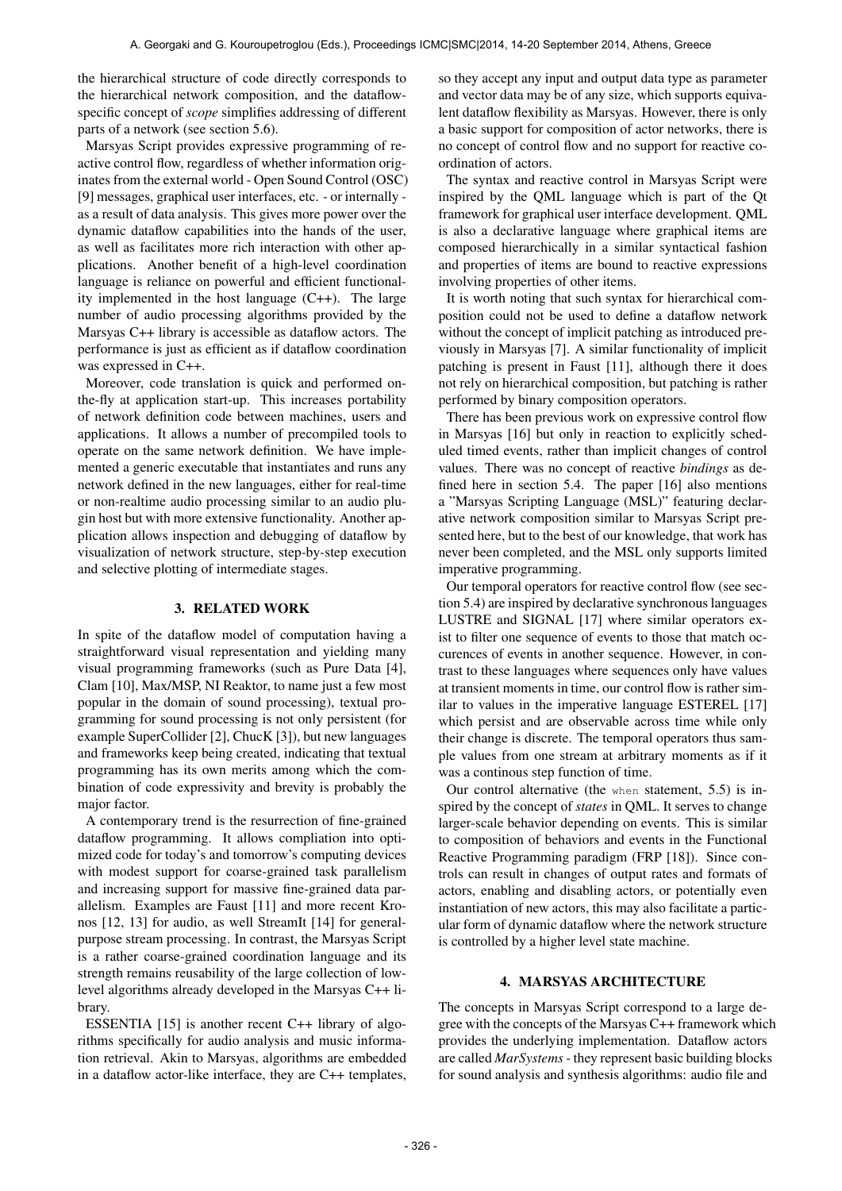the hierarchical structure of code directly corresponds to the hierarchical network composition, and the dataflowspecific concept of *scope* simplifies addressing of different parts of a network (see section 5.6).

Marsyas Script provides expressive programming of reactive control flow, regardless of whether information originates from the external world - Open Sound Control (OSC) [9] messages, graphical user interfaces, etc. - or internally as a result of data analysis. This gives more power over the dynamic dataflow capabilities into the hands of the user, as well as facilitates more rich interaction with other applications. Another benefit of a high-level coordination language is reliance on powerful and efficient functionality implemented in the host language (C++). The large number of audio processing algorithms provided by the Marsyas C++ library is accessible as dataflow actors. The performance is just as efficient as if dataflow coordination was expressed in C++.

Moreover, code translation is quick and performed onthe-fly at application start-up. This increases portability of network definition code between machines, users and applications. It allows a number of precompiled tools to operate on the same network definition. We have implemented a generic executable that instantiates and runs any network defined in the new languages, either for real-time or non-realtime audio processing similar to an audio plugin host but with more extensive functionality. Another application allows inspection and debugging of dataflow by visualization of network structure, step-by-step execution and selective plotting of intermediate stages.

## 3. RELATED WORK

In spite of the dataflow model of computation having a straightforward visual representation and yielding many visual programming frameworks (such as Pure Data [4], Clam [10], Max/MSP, NI Reaktor, to name just a few most popular in the domain of sound processing), textual programming for sound processing is not only persistent (for example SuperCollider [2], ChucK [3]), but new languages and frameworks keep being created, indicating that textual programming has its own merits among which the combination of code expressivity and brevity is probably the major factor.

A contemporary trend is the resurrection of fine-grained dataflow programming. It allows compliation into optimized code for today's and tomorrow's computing devices with modest support for coarse-grained task parallelism and increasing support for massive fine-grained data parallelism. Examples are Faust [11] and more recent Kronos [12, 13] for audio, as well StreamIt [14] for generalpurpose stream processing. In contrast, the Marsyas Script is a rather coarse-grained coordination language and its strength remains reusability of the large collection of lowlevel algorithms already developed in the Marsyas C++ library.

ESSENTIA [15] is another recent C++ library of algorithms specifically for audio analysis and music information retrieval. Akin to Marsyas, algorithms are embedded in a dataflow actor-like interface, they are C++ templates, so they accept any input and output data type as parameter and vector data may be of any size, which supports equivalent dataflow flexibility as Marsyas. However, there is only a basic support for composition of actor networks, there is no concept of control flow and no support for reactive coordination of actors.

The syntax and reactive control in Marsyas Script were inspired by the QML language which is part of the Qt framework for graphical user interface development. QML is also a declarative language where graphical items are composed hierarchically in a similar syntactical fashion and properties of items are bound to reactive expressions involving properties of other items.

It is worth noting that such syntax for hierarchical composition could not be used to define a dataflow network without the concept of implicit patching as introduced previously in Marsyas [7]. A similar functionality of implicit patching is present in Faust [11], although there it does not rely on hierarchical composition, but patching is rather performed by binary composition operators.

There has been previous work on expressive control flow in Marsyas [16] but only in reaction to explicitly scheduled timed events, rather than implicit changes of control values. There was no concept of reactive *bindings* as defined here in section 5.4. The paper [16] also mentions a "Marsyas Scripting Language (MSL)" featuring declarative network composition similar to Marsyas Script presented here, but to the best of our knowledge, that work has never been completed, and the MSL only supports limited imperative programming.

Our temporal operators for reactive control flow (see section 5.4) are inspired by declarative synchronous languages LUSTRE and SIGNAL [17] where similar operators exist to filter one sequence of events to those that match occurences of events in another sequence. However, in contrast to these languages where sequences only have values at transient moments in time, our control flow is rather similar to values in the imperative language ESTEREL [17] which persist and are observable across time while only their change is discrete. The temporal operators thus sample values from one stream at arbitrary moments as if it was a continous step function of time.

Our control alternative (the when statement, 5.5) is inspired by the concept of *states* in QML. It serves to change larger-scale behavior depending on events. This is similar to composition of behaviors and events in the Functional Reactive Programming paradigm (FRP [18]). Since controls can result in changes of output rates and formats of actors, enabling and disabling actors, or potentially even instantiation of new actors, this may also facilitate a particular form of dynamic dataflow where the network structure is controlled by a higher level state machine.

# 4. MARSYAS ARCHITECTURE

The concepts in Marsyas Script correspond to a large degree with the concepts of the Marsyas C++ framework which provides the underlying implementation. Dataflow actors are called *MarSystems*- they represent basic building blocks for sound analysis and synthesis algorithms: audio file and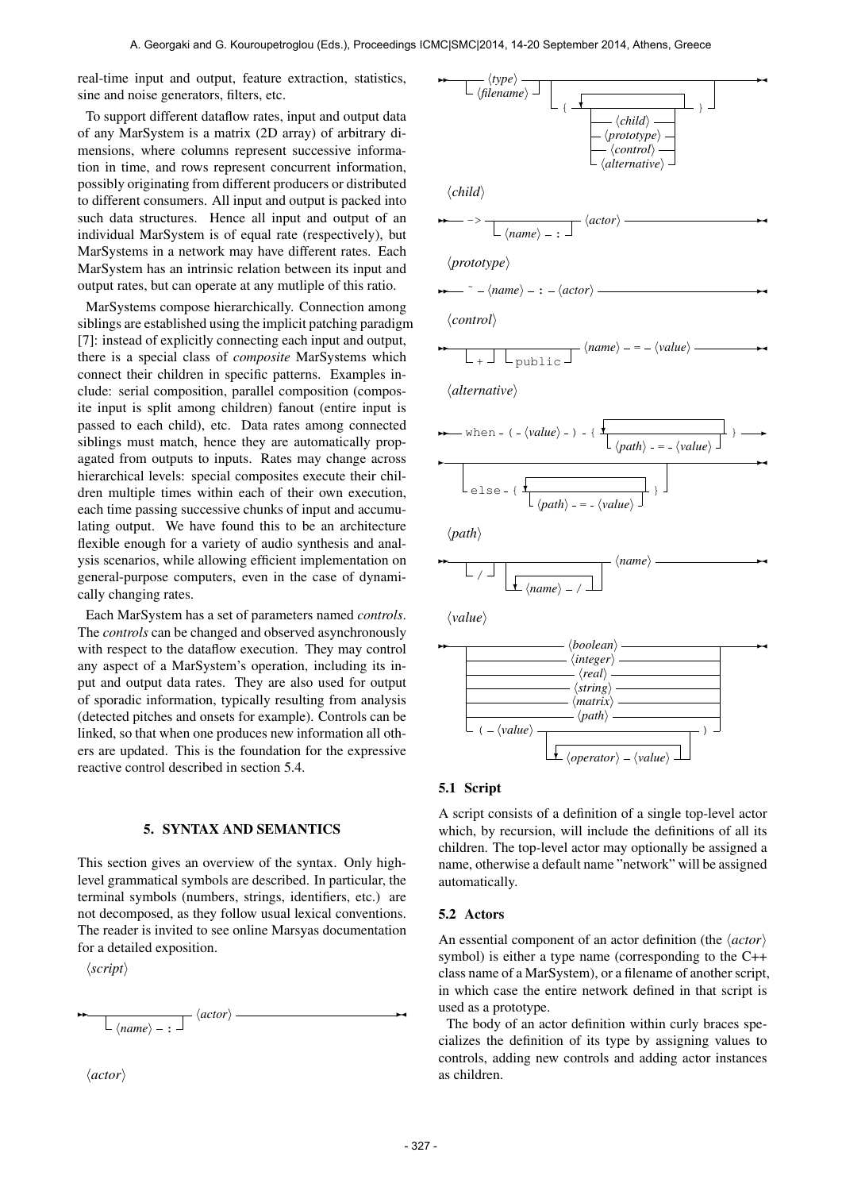real-time input and output, feature extraction, statistics, sine and noise generators, filters, etc.

To support different dataflow rates, input and output data of any MarSystem is a matrix (2D array) of arbitrary dimensions, where columns represent successive information in time, and rows represent concurrent information, possibly originating from different producers or distributed to different consumers. All input and output is packed into such data structures. Hence all input and output of an individual MarSystem is of equal rate (respectively), but MarSystems in a network may have different rates. Each MarSystem has an intrinsic relation between its input and output rates, but can operate at any mutliple of this ratio.

MarSystems compose hierarchically. Connection among siblings are established using the implicit patching paradigm [7]: instead of explicitly connecting each input and output, there is a special class of *composite* MarSystems which connect their children in specific patterns. Examples include: serial composition, parallel composition (composite input is split among children) fanout (entire input is passed to each child), etc. Data rates among connected siblings must match, hence they are automatically propagated from outputs to inputs. Rates may change across hierarchical levels: special composites execute their children multiple times within each of their own execution, each time passing successive chunks of input and accumulating output. We have found this to be an architecture flexible enough for a variety of audio synthesis and analysis scenarios, while allowing efficient implementation on general-purpose computers, even in the case of dynamically changing rates.

Each MarSystem has a set of parameters named *controls*. The *controls* can be changed and observed asynchronously with respect to the dataflow execution. They may control any aspect of a MarSystem's operation, including its input and output data rates. They are also used for output of sporadic information, typically resulting from analysis (detected pitches and onsets for example). Controls can be linked, so that when one produces new information all others are updated. This is the foundation for the expressive reactive control described in section 5.4.

# 5. SYNTAX AND SEMANTICS

This section gives an overview of the syntax. Only highlevel grammatical symbols are described. In particular, the terminal symbols (numbers, strings, identifiers, etc.) are not decomposed, as they follow usual lexical conventions. The reader is invited to see online Marsyas documentation for a detailed exposition.

 $\langle script \rangle$ 

 $\ddot{ }$ 

 $\langle name \rangle -$ :  $\langle actor\rangle \longrightarrow$ 

 $\langle actor\rangle$ 



#### 5.1 Script

A script consists of a definition of a single top-level actor which, by recursion, will include the definitions of all its children. The top-level actor may optionally be assigned a name, otherwise a default name "network" will be assigned automatically.

#### 5.2 Actors

An essential component of an actor definition (the *\actor*) symbol) is either a type name (corresponding to the C++ class name of a MarSystem), or a filename of another script, in which case the entire network defined in that script is used as a prototype.

The body of an actor definition within curly braces specializes the definition of its type by assigning values to controls, adding new controls and adding actor instances as children.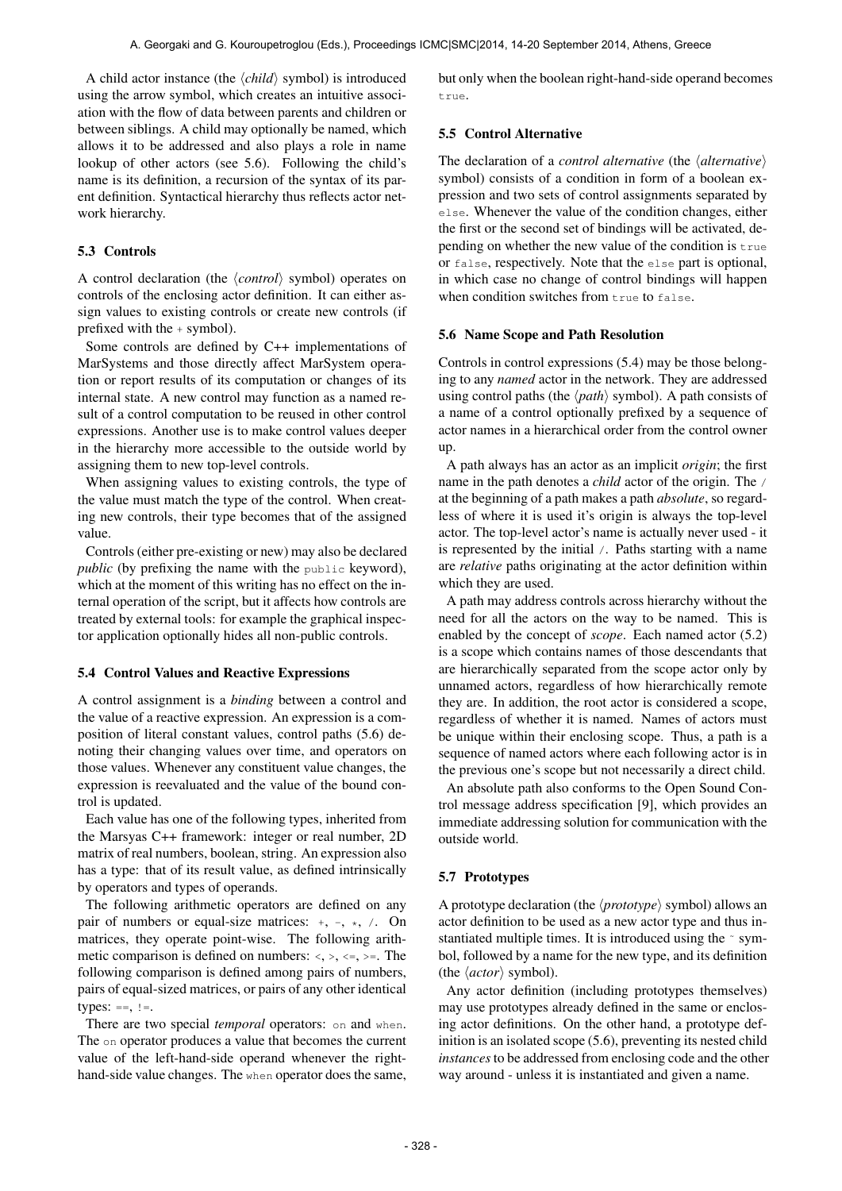A child actor instance (the  $\langle child \rangle$  symbol) is introduced using the arrow symbol, which creates an intuitive association with the flow of data between parents and children or between siblings. A child may optionally be named, which allows it to be addressed and also plays a role in name lookup of other actors (see 5.6). Following the child's name is its definition, a recursion of the syntax of its parent definition. Syntactical hierarchy thus reflects actor network hierarchy.

## 5.3 Controls

A control declaration (the *\control*} symbol) operates on controls of the enclosing actor definition. It can either assign values to existing controls or create new controls (if prefixed with the + symbol).

Some controls are defined by C++ implementations of MarSystems and those directly affect MarSystem operation or report results of its computation or changes of its internal state. A new control may function as a named result of a control computation to be reused in other control expressions. Another use is to make control values deeper in the hierarchy more accessible to the outside world by assigning them to new top-level controls.

When assigning values to existing controls, the type of the value must match the type of the control. When creating new controls, their type becomes that of the assigned value.

Controls (either pre-existing or new) may also be declared *public* (by prefixing the name with the public keyword), which at the moment of this writing has no effect on the internal operation of the script, but it affects how controls are treated by external tools: for example the graphical inspector application optionally hides all non-public controls.

## 5.4 Control Values and Reactive Expressions

A control assignment is a *binding* between a control and the value of a reactive expression. An expression is a composition of literal constant values, control paths (5.6) denoting their changing values over time, and operators on those values. Whenever any constituent value changes, the expression is reevaluated and the value of the bound control is updated.

Each value has one of the following types, inherited from the Marsyas C++ framework: integer or real number, 2D matrix of real numbers, boolean, string. An expression also has a type: that of its result value, as defined intrinsically by operators and types of operands.

The following arithmetic operators are defined on any pair of numbers or equal-size matrices:  $+, -, *, /$ . On matrices, they operate point-wise. The following arithmetic comparison is defined on numbers:  $\langle \cdot, \cdot, \cdot \rangle =$ . The following comparison is defined among pairs of numbers, pairs of equal-sized matrices, or pairs of any other identical types:  $==, !=.$ 

There are two special *temporal* operators: on and when. The on operator produces a value that becomes the current value of the left-hand-side operand whenever the righthand-side value changes. The when operator does the same, but only when the boolean right-hand-side operand becomes true.

## 5.5 Control Alternative

The declaration of a *control alternative* (the  $\langle$  *alternative* $\rangle$ symbol) consists of a condition in form of a boolean expression and two sets of control assignments separated by else. Whenever the value of the condition changes, either the first or the second set of bindings will be activated, depending on whether the new value of the condition is true or false, respectively. Note that the else part is optional, in which case no change of control bindings will happen when condition switches from true to false.

#### 5.6 Name Scope and Path Resolution

Controls in control expressions (5.4) may be those belonging to any *named* actor in the network. They are addressed using control paths (the  $\langle path \rangle$  symbol). A path consists of a name of a control optionally prefixed by a sequence of actor names in a hierarchical order from the control owner up.

A path always has an actor as an implicit *origin*; the first name in the path denotes a *child* actor of the origin. The / at the beginning of a path makes a path *absolute*, so regardless of where it is used it's origin is always the top-level actor. The top-level actor's name is actually never used - it is represented by the initial /. Paths starting with a name are *relative* paths originating at the actor definition within which they are used.

A path may address controls across hierarchy without the need for all the actors on the way to be named. This is enabled by the concept of *scope*. Each named actor (5.2) is a scope which contains names of those descendants that are hierarchically separated from the scope actor only by unnamed actors, regardless of how hierarchically remote they are. In addition, the root actor is considered a scope, regardless of whether it is named. Names of actors must be unique within their enclosing scope. Thus, a path is a sequence of named actors where each following actor is in the previous one's scope but not necessarily a direct child.

An absolute path also conforms to the Open Sound Control message address specification [9], which provides an immediate addressing solution for communication with the outside world.

#### 5.7 Prototypes

A prototype declaration (the  $\langle$ *prototype* $\rangle$  symbol) allows an actor definition to be used as a new actor type and thus instantiated multiple times. It is introduced using the ~ symbol, followed by a name for the new type, and its definition (the  $\langle actor \rangle$  symbol).

Any actor definition (including prototypes themselves) may use prototypes already defined in the same or enclosing actor definitions. On the other hand, a prototype definition is an isolated scope (5.6), preventing its nested child *instances*to be addressed from enclosing code and the other way around - unless it is instantiated and given a name.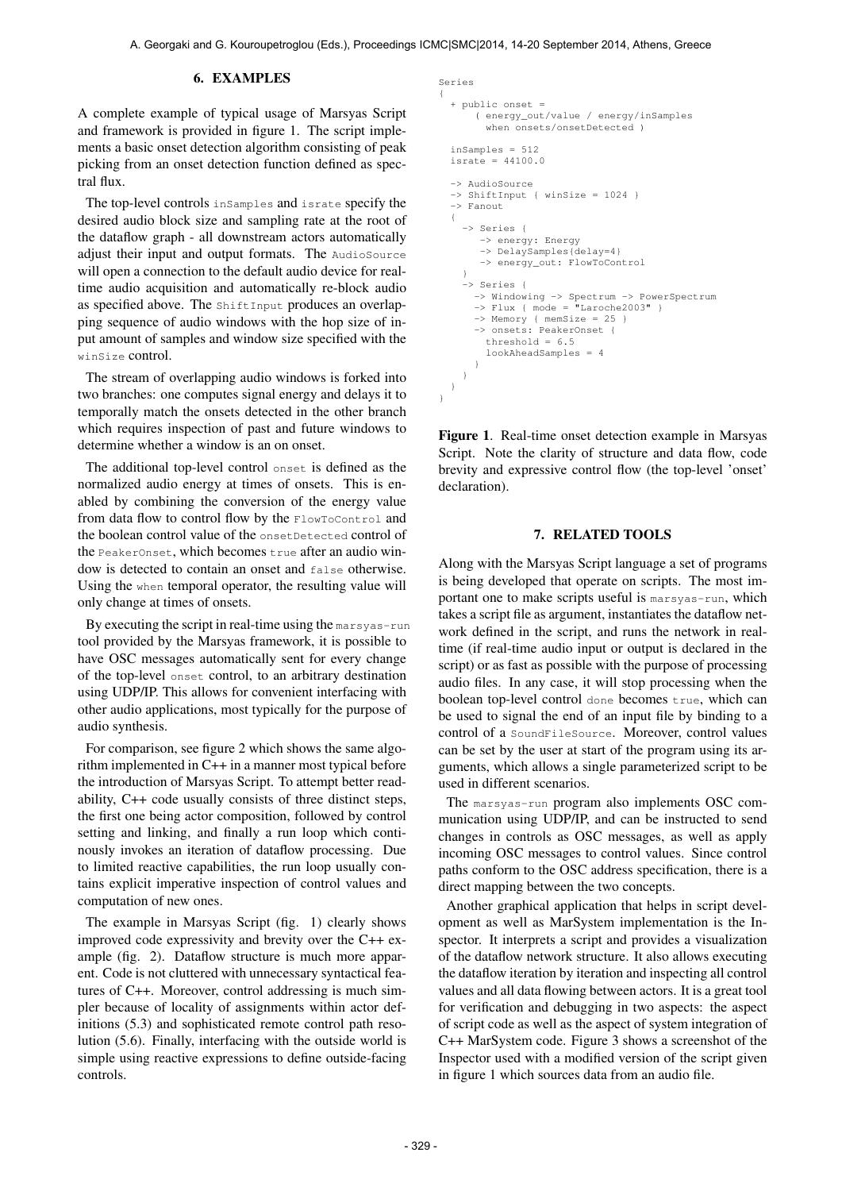#### 6. EXAMPLES

A complete example of typical usage of Marsyas Script and framework is provided in figure 1. The script implements a basic onset detection algorithm consisting of peak picking from an onset detection function defined as spectral flux.

The top-level controls inSamples and israte specify the desired audio block size and sampling rate at the root of the dataflow graph - all downstream actors automatically adjust their input and output formats. The AudioSource will open a connection to the default audio device for realtime audio acquisition and automatically re-block audio as specified above. The ShiftInput produces an overlapping sequence of audio windows with the hop size of input amount of samples and window size specified with the winSize control.

The stream of overlapping audio windows is forked into two branches: one computes signal energy and delays it to temporally match the onsets detected in the other branch which requires inspection of past and future windows to determine whether a window is an on onset.

The additional top-level control onset is defined as the normalized audio energy at times of onsets. This is enabled by combining the conversion of the energy value from data flow to control flow by the FlowToControl and the boolean control value of the onsetDetected control of the PeakerOnset, which becomes  $true$  after an audio window is detected to contain an onset and false otherwise. Using the when temporal operator, the resulting value will only change at times of onsets.

By executing the script in real-time using the marsyas-run tool provided by the Marsyas framework, it is possible to have OSC messages automatically sent for every change of the top-level onset control, to an arbitrary destination using UDP/IP. This allows for convenient interfacing with other audio applications, most typically for the purpose of audio synthesis.

For comparison, see figure 2 which shows the same algorithm implemented in C++ in a manner most typical before the introduction of Marsyas Script. To attempt better readability, C++ code usually consists of three distinct steps, the first one being actor composition, followed by control setting and linking, and finally a run loop which continously invokes an iteration of dataflow processing. Due to limited reactive capabilities, the run loop usually contains explicit imperative inspection of control values and computation of new ones.

The example in Marsyas Script (fig. 1) clearly shows improved code expressivity and brevity over the C++ example (fig. 2). Dataflow structure is much more apparent. Code is not cluttered with unnecessary syntactical features of C++. Moreover, control addressing is much simpler because of locality of assignments within actor definitions (5.3) and sophisticated remote control path resolution (5.6). Finally, interfacing with the outside world is simple using reactive expressions to define outside-facing controls.

```
Series
{
  + public onset =
      ( energy_out/value / energy/inSamples
        when onsets/onsetDetected )
  inSamples = 512
  israte = 44100.0
  -> AudioSource
  -> ShiftInput { winSize = 1024 }
  -> Fanout
  {
    -> Series {
       -> energy: Energy
       -> DelaySamples{delay=4}
       -> energy_out: FlowToControl
    }
    -> Series {
      -> Windowing -> Spectrum -> PowerSpectrum
      \Rightarrow Flux { mode = "Laroche2003" }
      -> Memory { memSize = 25 }
-> onsets: PeakerOnset {
        threshold = 6.5lookAheadSamples = 4
      }
    }
  }
}
```
Figure 1. Real-time onset detection example in Marsyas Script. Note the clarity of structure and data flow, code brevity and expressive control flow (the top-level 'onset' declaration).

## 7. RELATED TOOLS

Along with the Marsyas Script language a set of programs is being developed that operate on scripts. The most important one to make scripts useful is marsyas-run, which takes a script file as argument, instantiates the dataflow network defined in the script, and runs the network in realtime (if real-time audio input or output is declared in the script) or as fast as possible with the purpose of processing audio files. In any case, it will stop processing when the boolean top-level control done becomes true, which can be used to signal the end of an input file by binding to a control of a SoundFileSource. Moreover, control values can be set by the user at start of the program using its arguments, which allows a single parameterized script to be used in different scenarios.

The marsyas-run program also implements OSC communication using UDP/IP, and can be instructed to send changes in controls as OSC messages, as well as apply incoming OSC messages to control values. Since control paths conform to the OSC address specification, there is a direct mapping between the two concepts.

Another graphical application that helps in script development as well as MarSystem implementation is the Inspector. It interprets a script and provides a visualization of the dataflow network structure. It also allows executing the dataflow iteration by iteration and inspecting all control values and all data flowing between actors. It is a great tool for verification and debugging in two aspects: the aspect of script code as well as the aspect of system integration of C++ MarSystem code. Figure 3 shows a screenshot of the Inspector used with a modified version of the script given in figure 1 which sources data from an audio file.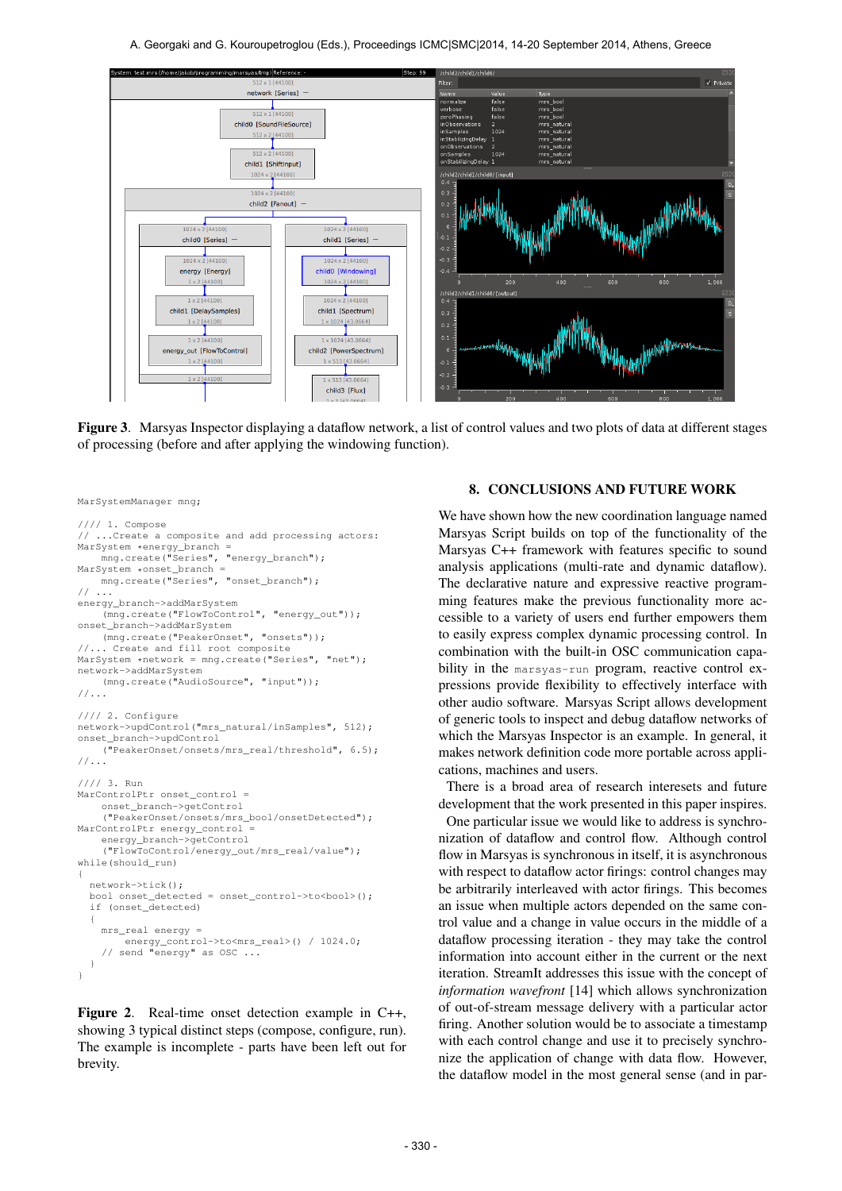A. Georgaki and G. Kouroupetroglou (Eds.), Proceedings ICMC|SMC|2014, 14-20 September 2014, Athens, Greece



Figure 3. Marsyas Inspector displaying a dataflow network, a list of control values and two plots of data at different stages of processing (before and after applying the windowing function).

```
MarSystemManager mng;
```

```
//// 1. Compose
   ...Create a composite and add processing actors:
MarSystem *energy_branch =
    mng.create("Series", "energy_branch");
MarSystem *onset_branch =
    mng.create("Series", "onset_branch");
// ...
energy_branch->addMarSystem
    (mng.create("FlowToControl", "energy_out"));
onset_branch->addMarSystem
    (mng.create("PeakerOnset", "onsets"));
//... Create and fill root composite
MarSystem *network = mng.create("Series", "net");
network->addMarSystem
    (mng.create("AudioSource", "input"));
//...
//// 2. Configure
network->updControl("mrs_natural/inSamples", 512);
onset_branch->updControl
    ("PeakerOnset/onsets/mrs_real/threshold", 6.5);
//...
//// 3. Run
MarControlPtr onset control =
    onset_branch->getControl
    ("PeakerOnset/onsets/mrs_bool/onsetDetected");
MarControlPtr energy_control =
    energy_branch->getControl
    ("FlowToControl/energy_out/mrs_real/value");
while(should_run)
{
  network->tick();
  bool onset_detected = onset_control->to<bool>();
  if (onset_detected)
  {
    mrs real energy =
        energy_control->to<mrs_real>() / 1024.0;
    // send "energy" as OSC ...
  }
}
```
Figure 2. Real-time onset detection example in C++, showing 3 typical distinct steps (compose, configure, run). The example is incomplete - parts have been left out for brevity.

# 8. CONCLUSIONS AND FUTURE WORK

We have shown how the new coordination language named Marsyas Script builds on top of the functionality of the Marsyas C++ framework with features specific to sound analysis applications (multi-rate and dynamic dataflow). The declarative nature and expressive reactive programming features make the previous functionality more accessible to a variety of users end further empowers them to easily express complex dynamic processing control. In combination with the built-in OSC communication capability in the marsyas-run program, reactive control expressions provide flexibility to effectively interface with other audio software. Marsyas Script allows development of generic tools to inspect and debug dataflow networks of which the Marsyas Inspector is an example. In general, it makes network definition code more portable across applications, machines and users.

There is a broad area of research interesets and future development that the work presented in this paper inspires.

One particular issue we would like to address is synchronization of dataflow and control flow. Although control flow in Marsyas is synchronous in itself, it is asynchronous with respect to dataflow actor firings: control changes may be arbitrarily interleaved with actor firings. This becomes an issue when multiple actors depended on the same control value and a change in value occurs in the middle of a dataflow processing iteration - they may take the control information into account either in the current or the next iteration. StreamIt addresses this issue with the concept of *information wavefront* [14] which allows synchronization of out-of-stream message delivery with a particular actor firing. Another solution would be to associate a timestamp with each control change and use it to precisely synchronize the application of change with data flow. However, the dataflow model in the most general sense (and in par